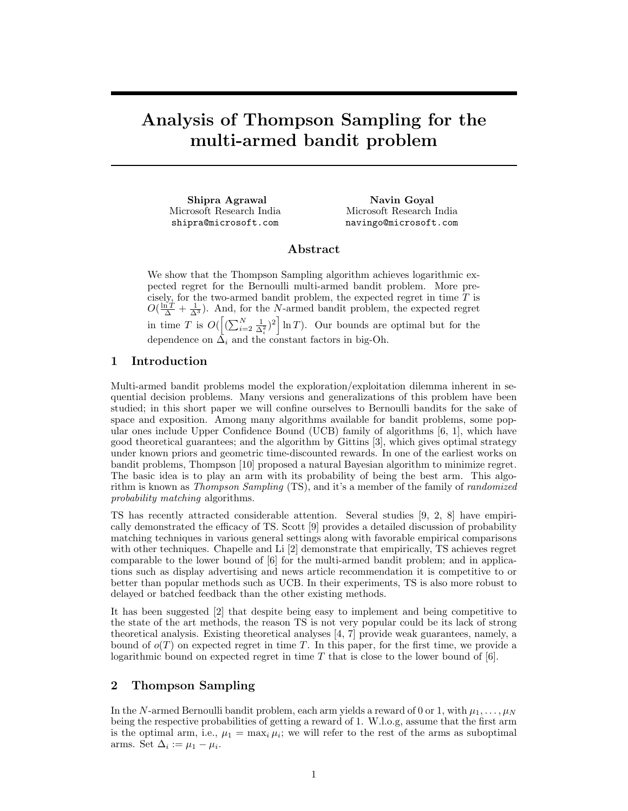# Analysis of Thompson Sampling for the multi-armed bandit problem

Shipra Agrawal Microsoft Research India shipra@microsoft.com

Navin Goyal Microsoft Research India navingo@microsoft.com

#### Abstract

We show that the Thompson Sampling algorithm achieves logarithmic expected regret for the Bernoulli multi-armed bandit problem. More precisely, for the two-armed bandit problem, the expected regret in time T is  $O(\frac{\ln T}{\Delta} + \frac{1}{\Delta^3})$ . And, for the N-armed bandit problem, the expected regret in time T is  $O\left(\left[\left(\sum_{i=2}^N \frac{1}{\Delta_i^2}\right)^2\right] \ln T\right)$ . Our bounds are optimal but for the dependence on  $\Delta_i$  and the constant factors in big-Oh.

## 1 Introduction

Multi-armed bandit problems model the exploration/exploitation dilemma inherent in sequential decision problems. Many versions and generalizations of this problem have been studied; in this short paper we will confine ourselves to Bernoulli bandits for the sake of space and exposition. Among many algorithms available for bandit problems, some popular ones include Upper Confidence Bound (UCB) family of algorithms [6, 1], which have good theoretical guarantees; and the algorithm by Gittins [3], which gives optimal strategy under known priors and geometric time-discounted rewards. In one of the earliest works on bandit problems, Thompson [10] proposed a natural Bayesian algorithm to minimize regret. The basic idea is to play an arm with its probability of being the best arm. This algorithm is known as Thompson Sampling (TS), and it's a member of the family of randomized probability matching algorithms.

TS has recently attracted considerable attention. Several studies [9, 2, 8] have empirically demonstrated the efficacy of TS. Scott [9] provides a detailed discussion of probability matching techniques in various general settings along with favorable empirical comparisons with other techniques. Chapelle and Li [2] demonstrate that empirically, TS achieves regret comparable to the lower bound of [6] for the multi-armed bandit problem; and in applications such as display advertising and news article recommendation it is competitive to or better than popular methods such as UCB. In their experiments, TS is also more robust to delayed or batched feedback than the other existing methods.

It has been suggested [2] that despite being easy to implement and being competitive to the state of the art methods, the reason TS is not very popular could be its lack of strong theoretical analysis. Existing theoretical analyses [4, 7] provide weak guarantees, namely, a bound of  $o(T)$  on expected regret in time T. In this paper, for the first time, we provide a logarithmic bound on expected regret in time T that is close to the lower bound of  $[6]$ .

## 2 Thompson Sampling

In the N-armed Bernoulli bandit problem, each arm yields a reward of 0 or 1, with  $\mu_1, \ldots, \mu_N$ being the respective probabilities of getting a reward of 1. W.l.o.g, assume that the first arm is the optimal arm, i.e.,  $\mu_1 = \max_i \mu_i$ ; we will refer to the rest of the arms as suboptimal arms. Set  $\Delta_i := \mu_1 - \mu_i$ .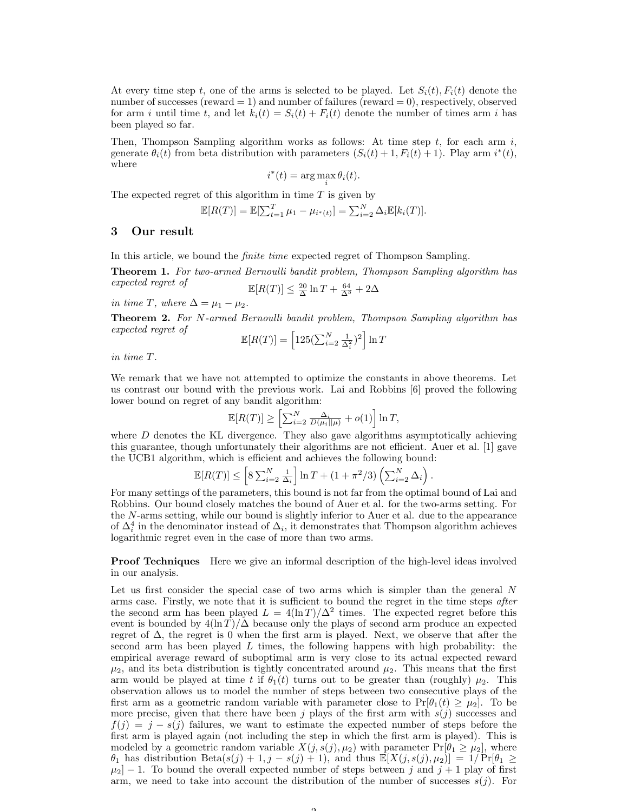At every time step t, one of the arms is selected to be played. Let  $S_i(t)$ ,  $F_i(t)$  denote the number of successes (reward  $= 1$ ) and number of failures (reward  $= 0$ ), respectively, observed for arm i until time t, and let  $k_i(t) = S_i(t) + F_i(t)$  denote the number of times arm i has been played so far.

Then, Thompson Sampling algorithm works as follows: At time step  $t$ , for each arm  $i$ , generate  $\theta_i(t)$  from beta distribution with parameters  $(S_i(t) + 1, F_i(t) + 1)$ . Play arm  $i^*(t)$ , where

$$
i^*(t) = \arg\max_i \theta_i(t).
$$

The expected regret of this algorithm in time  $T$  is given by

$$
\mathbb{E}[R(T)] = \mathbb{E}[\sum_{t=1}^{T} \mu_1 - \mu_{i^*(t)}] = \sum_{i=2}^{N} \Delta_i \mathbb{E}[k_i(T)].
$$

#### 3 Our result

In this article, we bound the finite time expected regret of Thompson Sampling.

Theorem 1. For two-armed Bernoulli bandit problem, Thompson Sampling algorithm has  $expected\,\,regret\,\,of$  $\frac{20}{\Delta}\ln T + \frac{64}{\Delta^3} + 2\Delta$ 

in time T, where  $\Delta = \mu_1 - \mu_2$ .

**Theorem 2.** For N-armed Bernoulli bandit problem, Thompson Sampling algorithm has expected regret of

$$
\mathbb{E}[R(T)] = \left[125(\sum_{i=2}^{N} \frac{1}{\Delta_i^2})^2\right] \ln T
$$

in time T.

We remark that we have not attempted to optimize the constants in above theorems. Let us contrast our bound with the previous work. Lai and Robbins [6] proved the following lower bound on regret of any bandit algorithm:

$$
\mathbb{E}[R(T)] \ge \left[\sum_{i=2}^{N} \frac{\Delta_i}{D(\mu_i||\mu)} + o(1)\right] \ln T,
$$

where  $D$  denotes the KL divergence. They also gave algorithms asymptotically achieving this guarantee, though unfortunately their algorithms are not efficient. Auer et al. [1] gave the UCB1 algorithm, which is efficient and achieves the following bound:

$$
\mathbb{E}[R(T)] \le \left[8\sum_{i=2}^{N} \frac{1}{\Delta_i} \right] \ln T + (1 + \pi^2/3) \left(\sum_{i=2}^{N} \Delta_i\right).
$$

For many settings of the parameters, this bound is not far from the optimal bound of Lai and Robbins. Our bound closely matches the bound of Auer et al. for the two-arms setting. For the N-arms setting, while our bound is slightly inferior to Auer et al. due to the appearance of  $\Delta_i^4$  in the denominator instead of  $\Delta_i$ , it demonstrates that Thompson algorithm achieves logarithmic regret even in the case of more than two arms.

**Proof Techniques** Here we give an informal description of the high-level ideas involved in our analysis.

Let us first consider the special case of two arms which is simpler than the general  $N$ arms case. Firstly, we note that it is sufficient to bound the regret in the time steps after the second arm has been played  $L = 4(\ln T)/\Delta^2$  times. The expected regret before this event is bounded by  $4(\ln T)/\Delta$  because only the plays of second arm produce an expected regret of  $\Delta$ , the regret is 0 when the first arm is played. Next, we observe that after the second arm has been played  $L$  times, the following happens with high probability: the empirical average reward of suboptimal arm is very close to its actual expected reward  $\mu_2$ , and its beta distribution is tightly concentrated around  $\mu_2$ . This means that the first arm would be played at time t if  $\theta_1(t)$  turns out to be greater than (roughly)  $\mu_2$ . This observation allows us to model the number of steps between two consecutive plays of the first arm as a geometric random variable with parameter close to  $Pr[\theta_1(t) \geq \mu_2]$ . To be more precise, given that there have been j plays of the first arm with  $s(j)$  successes and  $f(j) = j - s(j)$  failures, we want to estimate the expected number of steps before the first arm is played again (not including the step in which the first arm is played). This is modeled by a geometric random variable  $X(j, s(j), \mu_2)$  with parameter  $Pr[\theta_1 \geq \mu_2]$ , where  $\theta_1$  has distribution Beta $(s(j) + 1, j - s(j) + 1)$ , and thus  $\mathbb{E}[X(j, s(j), \mu_2)] = 1/\Pr[\theta_1 \geq$  $\mu_2$  – 1. To bound the overall expected number of steps between j and j + 1 play of first arm, we need to take into account the distribution of the number of successes  $s(j)$ . For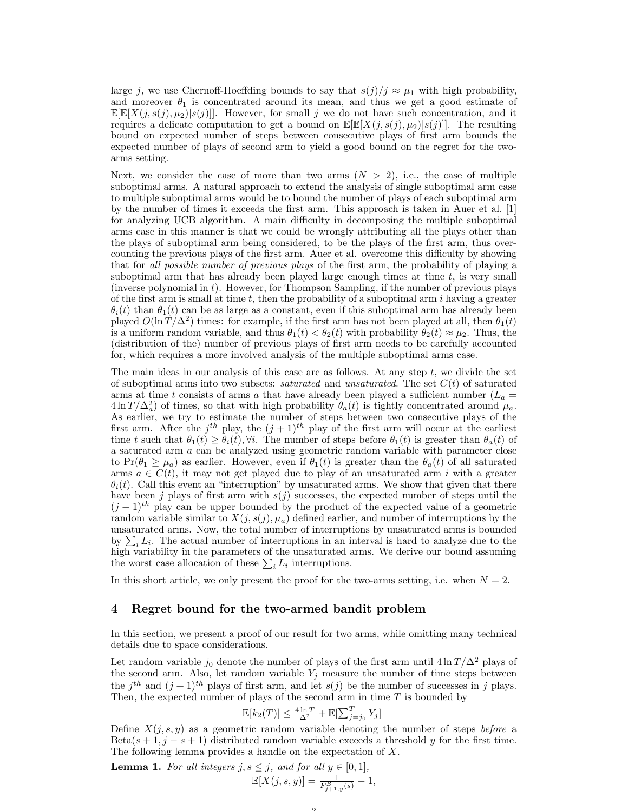large j, we use Chernoff-Hoeffding bounds to say that  $s(j)/j \approx \mu_1$  with high probability, and moreover  $\theta_1$  is concentrated around its mean, and thus we get a good estimate of  $\mathbb{E}[\mathbb{E}[X(j, s(j), \mu_2)|s(j)]].$  However, for small j we do not have such concentration, and it requires a delicate computation to get a bound on  $\mathbb{E}[E[X(j, s(j), \mu_2)|s(j)]]$ . The resulting bound on expected number of steps between consecutive plays of first arm bounds the expected number of plays of second arm to yield a good bound on the regret for the twoarms setting.

Next, we consider the case of more than two arms  $(N > 2)$ , i.e., the case of multiple suboptimal arms. A natural approach to extend the analysis of single suboptimal arm case to multiple suboptimal arms would be to bound the number of plays of each suboptimal arm by the number of times it exceeds the first arm. This approach is taken in Auer et al. [1] for analyzing UCB algorithm. A main difficulty in decomposing the multiple suboptimal arms case in this manner is that we could be wrongly attributing all the plays other than the plays of suboptimal arm being considered, to be the plays of the first arm, thus overcounting the previous plays of the first arm. Auer et al. overcome this difficulty by showing that for all possible number of previous plays of the first arm, the probability of playing a suboptimal arm that has already been played large enough times at time  $t$ , is very small (inverse polynomial in t). However, for Thompson Sampling, if the number of previous plays of the first arm is small at time  $t$ , then the probability of a suboptimal arm  $i$  having a greater  $\theta_i(t)$  than  $\theta_1(t)$  can be as large as a constant, even if this suboptimal arm has already been played  $O(\ln T/\Delta^2)$  times: for example, if the first arm has not been played at all, then  $\theta_1(t)$ is a uniform random variable, and thus  $\theta_1(t) < \theta_2(t)$  with probability  $\theta_2(t) \approx \mu_2$ . Thus, the (distribution of the) number of previous plays of first arm needs to be carefully accounted for, which requires a more involved analysis of the multiple suboptimal arms case.

The main ideas in our analysis of this case are as follows. At any step  $t$ , we divide the set of suboptimal arms into two subsets: *saturated* and *unsaturated*. The set  $C(t)$  of saturated arms at time t consists of arms a that have already been played a sufficient number  $(L_a =$  $4 \ln T / \Delta_a^2$  of times, so that with high probability  $\theta_a(t)$  is tightly concentrated around  $\mu_a$ . As earlier, we try to estimate the number of steps between two consecutive plays of the first arm. After the  $j<sup>th</sup>$  play, the  $(j + 1)<sup>th</sup>$  play of the first arm will occur at the earliest time t such that  $\theta_1(t) \geq \theta_i(t)$ ,  $\forall i$ . The number of steps before  $\theta_1(t)$  is greater than  $\theta_a(t)$  of a saturated arm a can be analyzed using geometric random variable with parameter close to  $Pr(\theta_1 \geq \mu_a)$  as earlier. However, even if  $\theta_1(t)$  is greater than the  $\theta_a(t)$  of all saturated arms  $a \in C(t)$ , it may not get played due to play of an unsaturated arm i with a greater  $\theta_i(t)$ . Call this event an "interruption" by unsaturated arms. We show that given that there have been j plays of first arm with  $s(j)$  successes, the expected number of steps until the  $(j + 1)$ <sup>th</sup> play can be upper bounded by the product of the expected value of a geometric random variable similar to  $X(j, s(j), \mu_a)$  defined earlier, and number of interruptions by the unsaturated arms. Now, the total number of interruptions by unsaturated arms is bounded by  $\sum_i L_i$ . The actual number of interruptions in an interval is hard to analyze due to the high variability in the parameters of the unsaturated arms. We derive our bound assuming the worst case allocation of these  $\sum_i L_i$  interruptions.

In this short article, we only present the proof for the two-arms setting, i.e. when  $N = 2$ .

#### 4 Regret bound for the two-armed bandit problem

In this section, we present a proof of our result for two arms, while omitting many technical details due to space considerations.

Let random variable  $j_0$  denote the number of plays of the first arm until  $4 \ln T / \Delta^2$  plays of the second arm. Also, let random variable  $Y_j$  measure the number of time steps between the j<sup>th</sup> and  $(j + 1)$ <sup>th</sup> plays of first arm, and let  $s(j)$  be the number of successes in j plays. Then, the expected number of plays of the second arm in time  $T$  is bounded by

$$
\mathbb{E}[k_2(T)] \le \frac{4\ln T}{\Delta^2} + \mathbb{E}[\sum_{j=j_0}^{T} Y_j]
$$

Define  $X(j, s, y)$  as a geometric random variable denoting the number of steps *before* a Beta(s + 1, j – s + 1) distributed random variable exceeds a threshold y for the first time. The following lemma provides a handle on the expectation of X.

 $\Omega$ 

**Lemma 1.** For all integers  $j, s \leq j$ , and for all  $y \in [0, 1]$ ,  $\mathbb{E}[X(j, s, y)] = \frac{1}{F_{j+1, y}^B(s)} - 1,$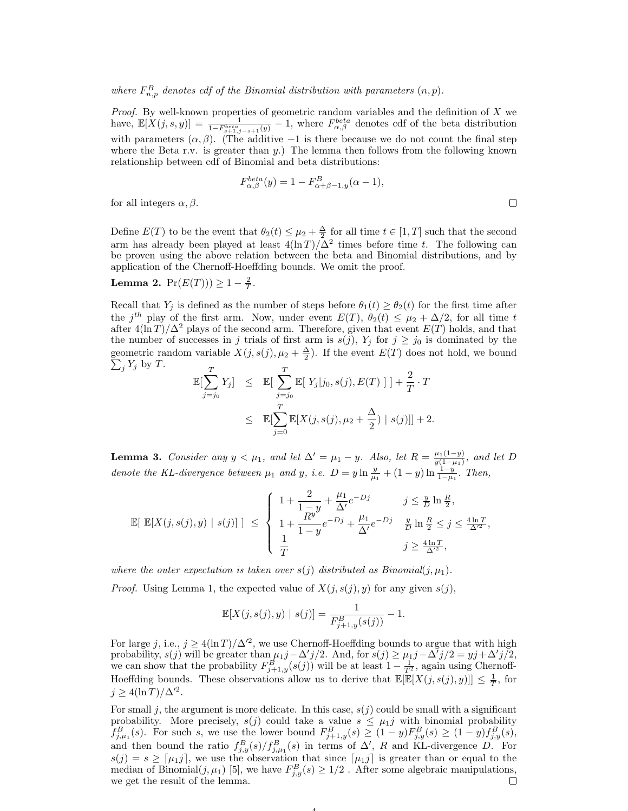*Proof.* By well-known properties of geometric random variables and the definition of  $X$  we have,  $\mathbb{E}[X(j,s,y)] = \frac{1}{1-F_{s+1,j-s+1}^{beta}} - 1$ , where  $F_{\alpha,\beta}^{beta}$  denotes cdf of the beta distribution with parameters  $(\alpha, \beta)$ . (The additive -1 is there because we do not count the final step where the Beta r.v. is greater than  $y$ .) The lemma then follows from the following known relationship between cdf of Binomial and beta distributions:

$$
F_{\alpha,\beta}^{beta}(y) = 1 - F_{\alpha+\beta-1,y}^{B}(\alpha - 1),
$$

for all integers  $\alpha, \beta$ .

Define  $E(T)$  to be the event that  $\theta_2(t) \leq \mu_2 + \frac{\Delta}{2}$  for all time  $t \in [1, T]$  such that the second arm has already been played at least  $4(\ln T)/\Delta^2$  times before time t. The following can be proven using the above relation between the beta and Binomial distributions, and by application of the Chernoff-Hoeffding bounds. We omit the proof.

# **Lemma 2.**  $Pr(E(T)) \geq 1 - \frac{2}{T}$ .

Recall that  $Y_j$  is defined as the number of steps before  $\theta_1(t) \geq \theta_2(t)$  for the first time after the j<sup>th</sup> play of the first arm. Now, under event  $E(T)$ ,  $\theta_2(t) \leq \mu_2 + \Delta/2$ , for all time t after  $4(\ln T)/\Delta^2$  plays of the second arm. Therefore, given that event  $E(T)$  holds, and that the number of successes in j trials of first arm is  $s(j)$ ,  $Y_j$  for  $j \geq j_0$  is dominated by the geometric random variable  $X(j, s(j), \mu_2 + \frac{\Delta}{2})$ <br> $\sum_i Y_i$  by T. ). If the event  $E(T)$  does not hold, we bound

$$
y^{Y_j} \text{ by } T.
$$
  
\n
$$
\mathbb{E}[\sum_{j=j_0}^{T} Y_j] \leq \mathbb{E}[\sum_{j=j_0}^{T} \mathbb{E}[Y_j|j_0, s(j), E(T)]] + \frac{2}{T} \cdot T
$$
  
\n
$$
\leq \mathbb{E}[\sum_{j=0}^{T} \mathbb{E}[X(j, s(j), \mu_2 + \frac{\Delta}{2}) | s(j)]] + 2.
$$

**Lemma 3.** Consider any  $y < \mu_1$ , and let  $\Delta' = \mu_1 - y$ . Also, let  $R = \frac{\mu_1(1-y)}{\mu(1-\mu_1)}$  $\frac{\mu_1(1-y)}{y(1-\mu_1)}$ , and let D denote the KL-divergence between  $\mu_1$  and y, i.e.  $D = y \ln \frac{y}{\mu_1} + (1 - y) \ln \frac{1 - y}{1 - \mu_1}$ . Then,

$$
\mathbb{E}\left[\mathbb{E}[X(j,s(j),y) \mid s(j)]\right] \leq \begin{cases} 1 + \frac{2}{1-y} + \frac{\mu_1}{\Delta'}e^{-Dj} & j \leq \frac{y}{D}\ln\frac{R}{2}, \\ 1 + \frac{R^y}{1-y}e^{-Dj} + \frac{\mu_1}{\Delta'}e^{-Dj} & \frac{y}{D}\ln\frac{R}{2} \leq j \leq \frac{4\ln T}{\Delta'^2}, \\ \frac{1}{T} & j \geq \frac{4\ln T}{\Delta'^2}, \end{cases}
$$

where the outer expectation is taken over  $s(j)$  distributed as Binomial $(j, \mu_1)$ .

*Proof.* Using Lemma 1, the expected value of  $X(j, s(j), y)$  for any given  $s(j)$ ,

$$
\mathbb{E}[X(j, s(j), y) \mid s(j)] = \frac{1}{F_{j+1, y}^B(s(j))} - 1.
$$

For large j, i.e.,  $j \geq 4(\ln T)/\Delta'^2$ , we use Chernoff-Hoeffding bounds to argue that with high probability,  $s(j)$  will be greater than  $\mu_1 j - \Delta' j/2$ . And, for  $s(j) \geq \mu_1 j - \Delta' j/2 = yj + \Delta' j/2$ , we can show that the probability  $F_{j+1,y}^B(s(j))$  will be at least  $1-\frac{1}{T^2}$ , again using Chernoff-Hoeffding bounds. These observations allow us to derive that  $\mathbb{E}[\mathbb{E}[X(j, s(j), y)]] \leq \frac{1}{T}$ , for  $j \geq 4(\ln T)/\Delta'^2$ .

For small j, the argument is more delicate. In this case,  $s(j)$  could be small with a significant probability. More precisely,  $s(j)$  could take a value  $s \leq \mu_1 j$  with binomial probability  $f_{j,\mu_1}^B(s)$ . For such s, we use the lower bound  $F_{j+1,y}^B(s) \ge (1-y)F_{j,y}^B(s) \ge (1-y)f_{j,y}^B(s)$ , and then bound the ratio  $f_{j,y}^B(s)/f_{j,\mu_1}^B(s)$  in terms of  $\Delta'$ , R and KL-divergence D. For  $s(j) = s \geq \lfloor \mu_1 j \rfloor$ , we use the observation that since  $\lfloor \mu_1 j \rfloor$  is greater than or equal to the median of Binomial $(j, \mu_1)$  [5], we have  $F_{j,y}^B(s) \geq 1/2$ . After some algebraic manipulations, we get the result of the lemma.

4